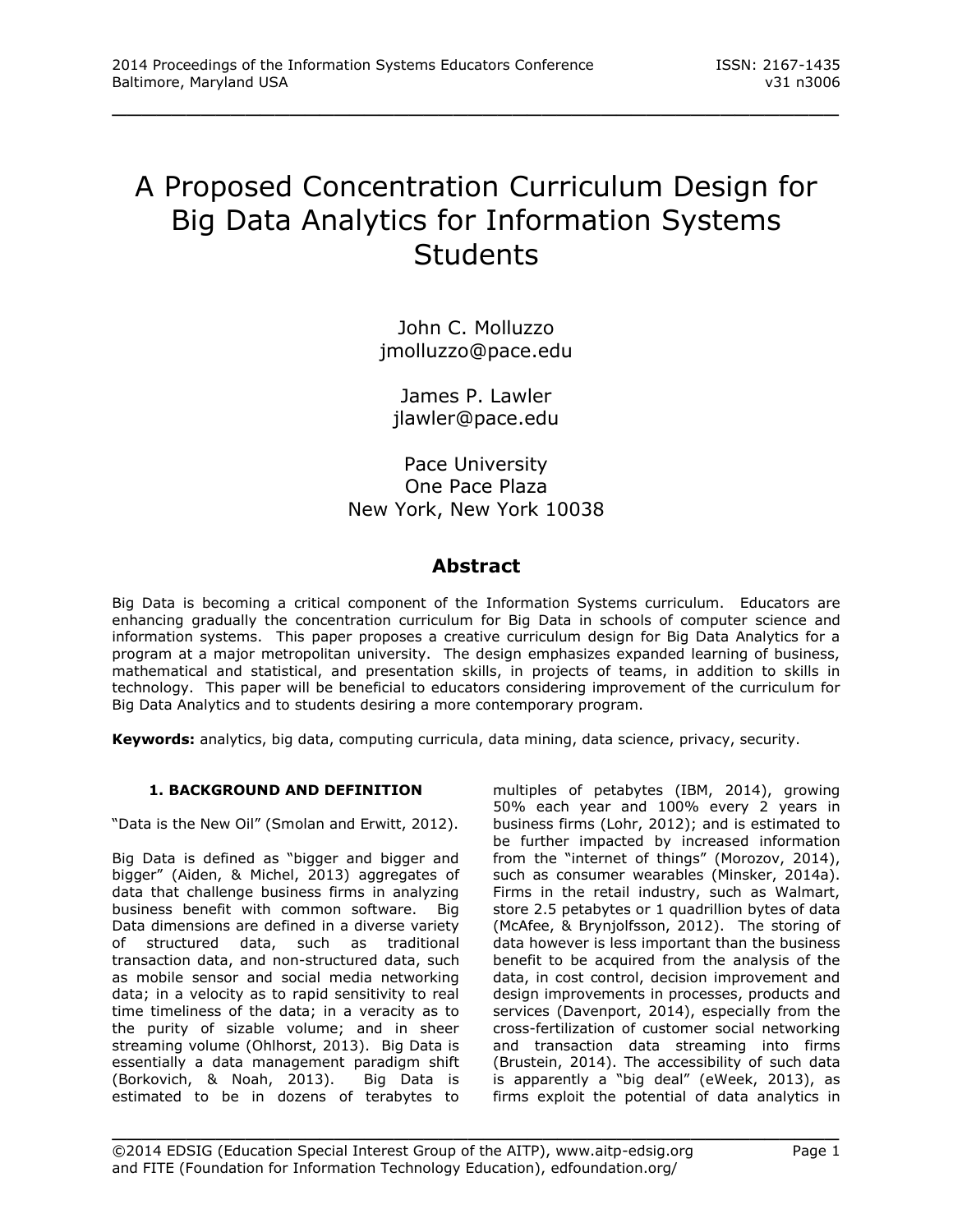# A Proposed Concentration Curriculum Design for Big Data Analytics for Information Systems **Students**

\_\_\_\_\_\_\_\_\_\_\_\_\_\_\_\_\_\_\_\_\_\_\_\_\_\_\_\_\_\_\_\_\_\_\_\_\_\_\_\_\_\_\_\_\_\_\_\_\_

John C. Molluzzo jmolluzzo@pace.edu

James P. Lawler jlawler@pace.edu

Pace University One Pace Plaza New York, New York 10038

# **Abstract**

Big Data is becoming a critical component of the Information Systems curriculum. Educators are enhancing gradually the concentration curriculum for Big Data in schools of computer science and information systems. This paper proposes a creative curriculum design for Big Data Analytics for a program at a major metropolitan university. The design emphasizes expanded learning of business, mathematical and statistical, and presentation skills, in projects of teams, in addition to skills in technology. This paper will be beneficial to educators considering improvement of the curriculum for Big Data Analytics and to students desiring a more contemporary program.

**Keywords:** analytics, big data, computing curricula, data mining, data science, privacy, security.

# **1. BACKGROUND AND DEFINITION**

"Data is the New Oil" (Smolan and Erwitt, 2012).

Big Data is defined as "bigger and bigger and bigger" (Aiden, & Michel, 2013) aggregates of data that challenge business firms in analyzing business benefit with common software. Big Data dimensions are defined in a diverse variety of structured data, such as traditional transaction data, and non-structured data, such as mobile sensor and social media networking data; in a velocity as to rapid sensitivity to real time timeliness of the data; in a veracity as to the purity of sizable volume; and in sheer streaming volume (Ohlhorst, 2013). Big Data is essentially a data management paradigm shift (Borkovich, & Noah, 2013). Big Data is estimated to be in dozens of terabytes to

multiples of petabytes (IBM, 2014), growing 50% each year and 100% every 2 years in business firms (Lohr, 2012); and is estimated to be further impacted by increased information from the "internet of things" (Morozov, 2014), such as consumer wearables (Minsker, 2014a). Firms in the retail industry, such as Walmart, store 2.5 petabytes or 1 quadrillion bytes of data (McAfee, & Brynjolfsson, 2012). The storing of data however is less important than the business benefit to be acquired from the analysis of the data, in cost control, decision improvement and design improvements in processes, products and services (Davenport, 2014), especially from the cross-fertilization of customer social networking and transaction data streaming into firms (Brustein, 2014). The accessibility of such data is apparently a "big deal" (eWeek, 2013), as firms exploit the potential of data analytics in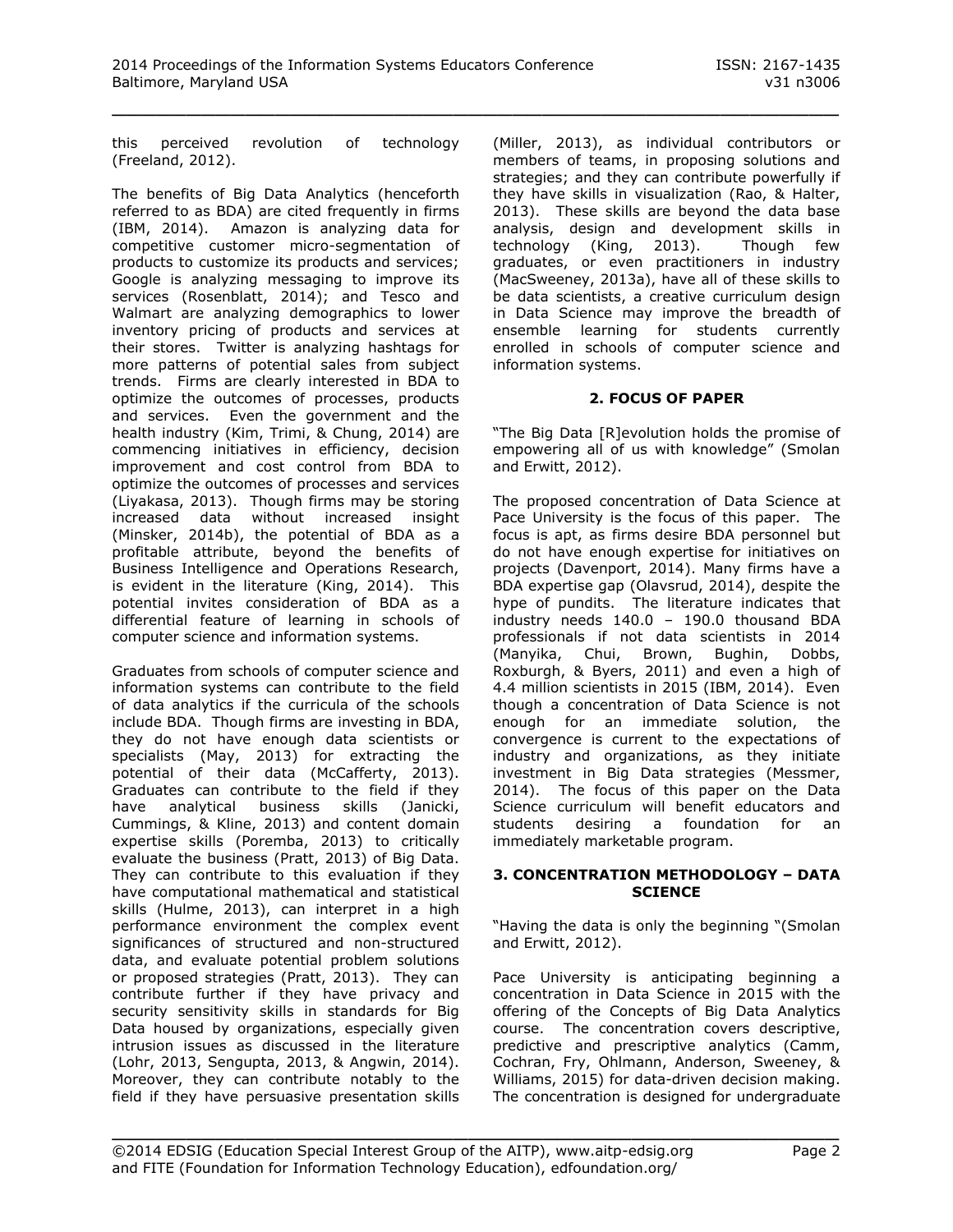this perceived revolution of technology (Freeland, 2012).

The benefits of Big Data Analytics (henceforth referred to as BDA) are cited frequently in firms (IBM, 2014). Amazon is analyzing data for competitive customer micro-segmentation of products to customize its products and services; Google is analyzing messaging to improve its services (Rosenblatt, 2014); and Tesco and Walmart are analyzing demographics to lower inventory pricing of products and services at their stores. Twitter is analyzing hashtags for more patterns of potential sales from subject trends. Firms are clearly interested in BDA to optimize the outcomes of processes, products and services. Even the government and the health industry (Kim, Trimi, & Chung, 2014) are commencing initiatives in efficiency, decision improvement and cost control from BDA to optimize the outcomes of processes and services (Liyakasa, 2013). Though firms may be storing increased data without increased insight (Minsker, 2014b), the potential of BDA as a profitable attribute, beyond the benefits of Business Intelligence and Operations Research, is evident in the literature (King, 2014). This potential invites consideration of BDA as a differential feature of learning in schools of computer science and information systems.

Graduates from schools of computer science and information systems can contribute to the field of data analytics if the curricula of the schools include BDA. Though firms are investing in BDA, they do not have enough data scientists or specialists (May, 2013) for extracting the potential of their data (McCafferty, 2013). Graduates can contribute to the field if they have analytical business skills (Janicki, Cummings, & Kline, 2013) and content domain expertise skills (Poremba, 2013) to critically evaluate the business (Pratt, 2013) of Big Data. They can contribute to this evaluation if they have computational mathematical and statistical skills (Hulme, 2013), can interpret in a high performance environment the complex event significances of structured and non-structured data, and evaluate potential problem solutions or proposed strategies (Pratt, 2013). They can contribute further if they have privacy and security sensitivity skills in standards for Big Data housed by organizations, especially given intrusion issues as discussed in the literature (Lohr, 2013, Sengupta, 2013, & Angwin, 2014). Moreover, they can contribute notably to the field if they have persuasive presentation skills

(Miller, 2013), as individual contributors or members of teams, in proposing solutions and strategies; and they can contribute powerfully if they have skills in visualization (Rao, & Halter, 2013). These skills are beyond the data base analysis, design and development skills in technology (King, 2013). Though few graduates, or even practitioners in industry (MacSweeney, 2013a), have all of these skills to be data scientists, a creative curriculum design in Data Science may improve the breadth of ensemble learning for students currently enrolled in schools of computer science and information systems.

# **2. FOCUS OF PAPER**

"The Big Data [R]evolution holds the promise of empowering all of us with knowledge" (Smolan and Erwitt, 2012).

The proposed concentration of Data Science at Pace University is the focus of this paper. The focus is apt, as firms desire BDA personnel but do not have enough expertise for initiatives on projects (Davenport, 2014). Many firms have a BDA expertise gap (Olavsrud, 2014), despite the hype of pundits. The literature indicates that industry needs 140.0 – 190.0 thousand BDA professionals if not data scientists in 2014 (Manyika, Chui, Brown, Bughin, Dobbs, Roxburgh, & Byers, 2011) and even a high of 4.4 million scientists in 2015 (IBM, 2014). Even though a concentration of Data Science is not enough for an immediate solution, the convergence is current to the expectations of industry and organizations, as they initiate investment in Big Data strategies (Messmer, 2014). The focus of this paper on the Data Science curriculum will benefit educators and students desiring a foundation for an immediately marketable program.

#### **3. CONCENTRATION METHODOLOGY – DATA SCIENCE**

"Having the data is only the beginning "(Smolan and Erwitt, 2012).

Pace University is anticipating beginning a concentration in Data Science in 2015 with the offering of the Concepts of Big Data Analytics course. The concentration covers descriptive, predictive and prescriptive analytics (Camm, Cochran, Fry, Ohlmann, Anderson, Sweeney, & Williams, 2015) for data-driven decision making. The concentration is designed for undergraduate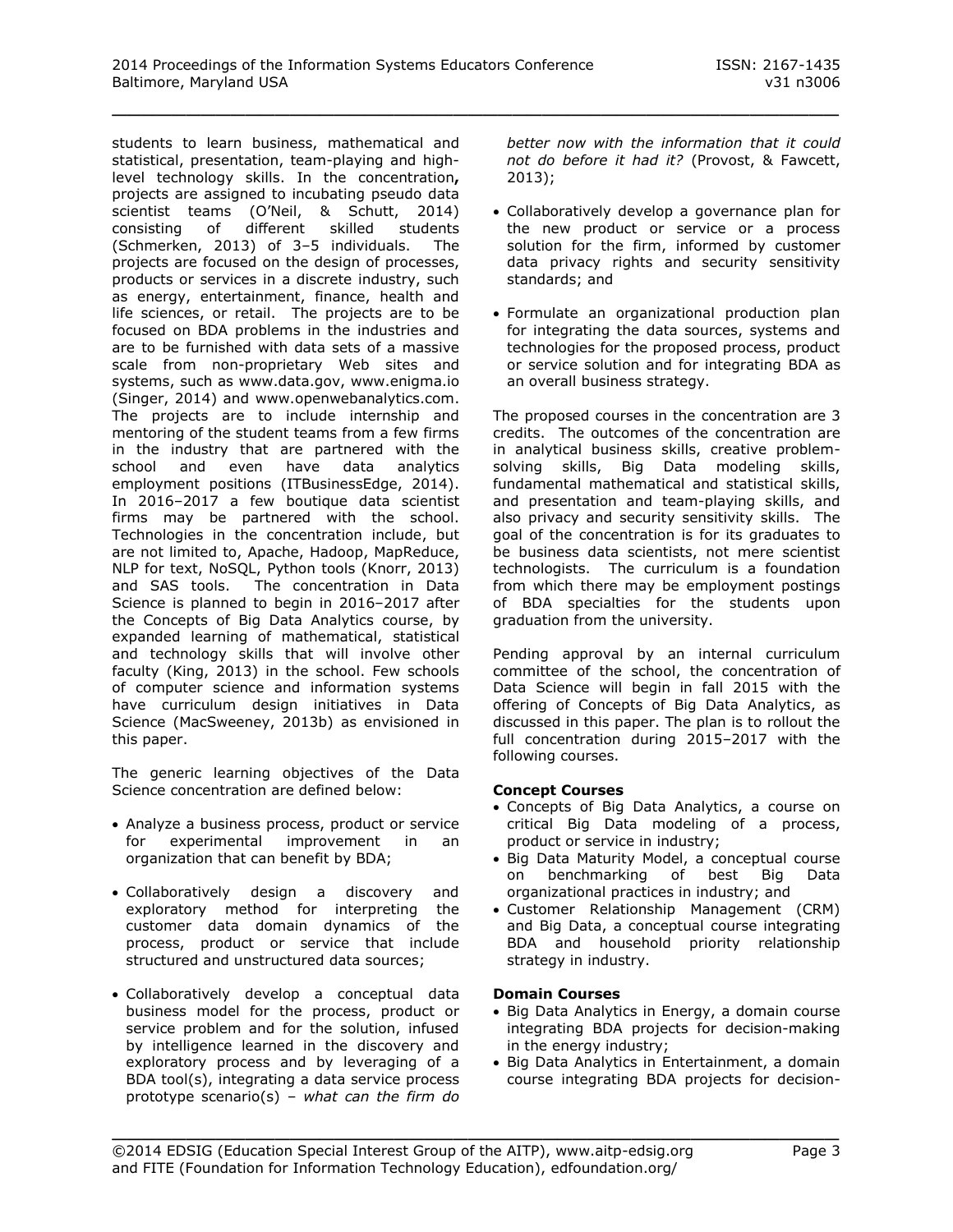students to learn business, mathematical and statistical, presentation, team-playing and highlevel technology skills. In the concentration**,** projects are assigned to incubating pseudo data scientist teams (O'Neil, & Schutt, 2014) consisting of different skilled students (Schmerken, 2013) of 3–5 individuals. The projects are focused on the design of processes, products or services in a discrete industry, such as energy, entertainment, finance, health and life sciences, or retail. The projects are to be focused on BDA problems in the industries and are to be furnished with data sets of a massive scale from non-proprietary Web sites and systems, such as [www.data.gov,](http://www.data.gov/) [www.enigma.io](http://www.enigma.io/) (Singer, 2014) and [www.openwebanalytics.com.](http://www.openwebanalytics.com/) The projects are to include internship and mentoring of the student teams from a few firms in the industry that are partnered with the school and even have data analytics employment positions (ITBusinessEdge, 2014). In 2016–2017 a few boutique data scientist firms may be partnered with the school. Technologies in the concentration include, but are not limited to, Apache, Hadoop, MapReduce, NLP for text, NoSQL, Python tools (Knorr, 2013) and SAS tools. The concentration in Data Science is planned to begin in 2016–2017 after the Concepts of Big Data Analytics course, by expanded learning of mathematical, statistical and technology skills that will involve other faculty (King, 2013) in the school. Few schools of computer science and information systems have curriculum design initiatives in Data Science (MacSweeney, 2013b) as envisioned in this paper.

The generic learning objectives of the Data Science concentration are defined below:

- Analyze a business process, product or service for experimental improvement in an organization that can benefit by BDA;
- Collaboratively design a discovery and exploratory method for interpreting the customer data domain dynamics of the process, product or service that include structured and unstructured data sources;
- Collaboratively develop a conceptual data business model for the process, product or service problem and for the solution, infused by intelligence learned in the discovery and exploratory process and by leveraging of a BDA tool(s), integrating a data service process prototype scenario(s) – *what can the firm do*

*better now with the information that it could not do before it had it?* (Provost, & Fawcett, 2013);

- Collaboratively develop a governance plan for the new product or service or a process solution for the firm, informed by customer data privacy rights and security sensitivity standards; and
- Formulate an organizational production plan for integrating the data sources, systems and technologies for the proposed process, product or service solution and for integrating BDA as an overall business strategy.

The proposed courses in the concentration are 3 credits. The outcomes of the concentration are in analytical business skills, creative problemsolving skills, Big Data modeling skills, fundamental mathematical and statistical skills, and presentation and team-playing skills, and also privacy and security sensitivity skills. The goal of the concentration is for its graduates to be business data scientists, not mere scientist technologists. The curriculum is a foundation from which there may be employment postings of BDA specialties for the students upon graduation from the university.

Pending approval by an internal curriculum committee of the school, the concentration of Data Science will begin in fall 2015 with the offering of Concepts of Big Data Analytics, as discussed in this paper. The plan is to rollout the full concentration during 2015–2017 with the following courses.

#### **Concept Courses**

- Concepts of Big Data Analytics, a course on critical Big Data modeling of a process, product or service in industry;
- Big Data Maturity Model, a conceptual course on benchmarking of best Big Data organizational practices in industry; and
- Customer Relationship Management (CRM) and Big Data, a conceptual course integrating BDA and household priority relationship strategy in industry.

#### **Domain Courses**

- Big Data Analytics in Energy, a domain course integrating BDA projects for decision-making in the energy industry;
- Big Data Analytics in Entertainment, a domain course integrating BDA projects for decision-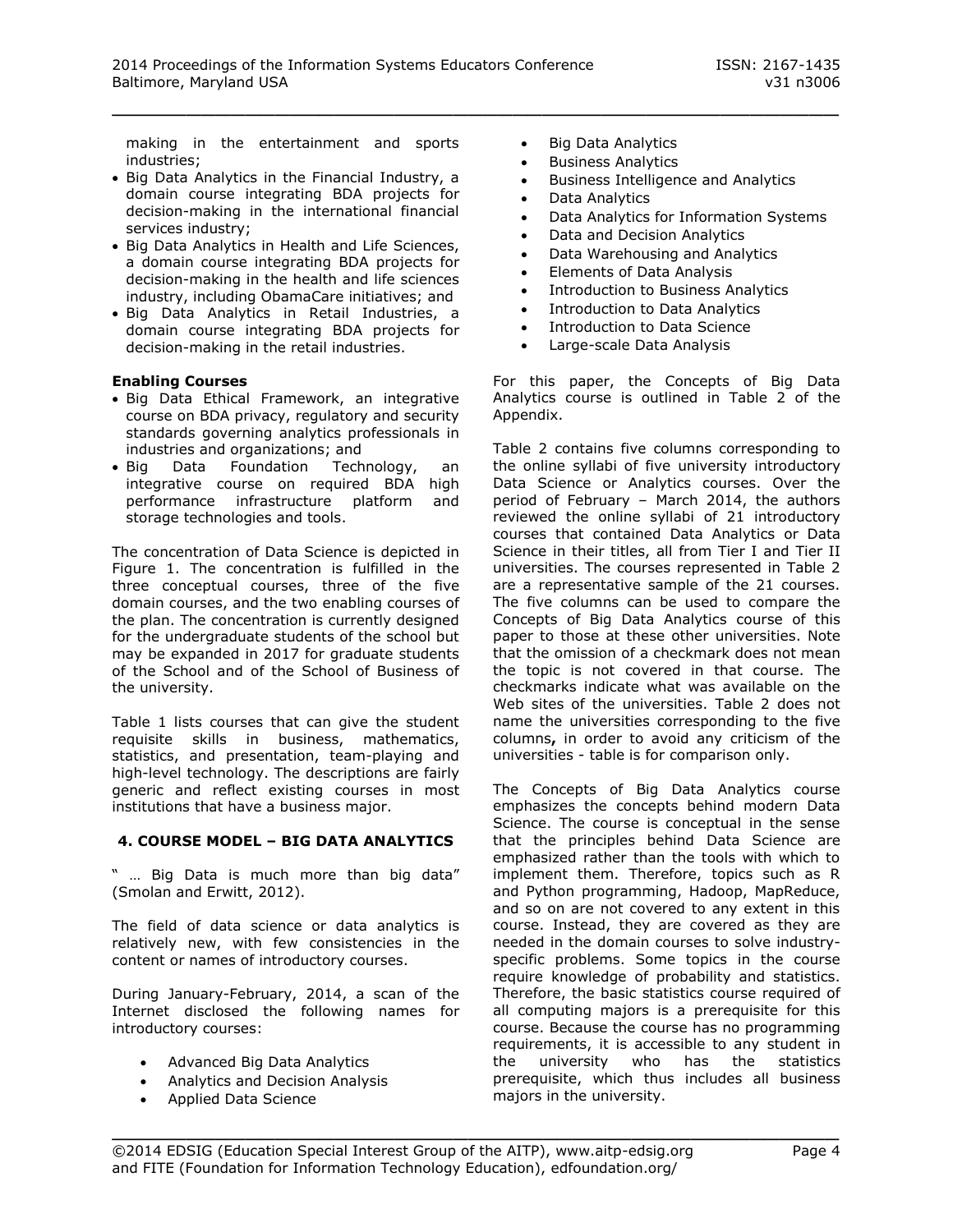making in the entertainment and sports industries;

- Big Data Analytics in the Financial Industry, a domain course integrating BDA projects for decision-making in the international financial services industry;
- Big Data Analytics in Health and Life Sciences, a domain course integrating BDA projects for decision-making in the health and life sciences industry, including ObamaCare initiatives; and
- · Big Data Analytics in Retail Industries, a domain course integrating BDA projects for decision-making in the retail industries.

#### **Enabling Courses**

- Big Data Ethical Framework, an integrative course on BDA privacy, regulatory and security standards governing analytics professionals in industries and organizations; and
- Big Data Foundation Technology, an integrative course on required BDA high performance infrastructure platform and storage technologies and tools.

The concentration of Data Science is depicted in Figure 1. The concentration is fulfilled in the three conceptual courses, three of the five domain courses, and the two enabling courses of the plan. The concentration is currently designed for the undergraduate students of the school but may be expanded in 2017 for graduate students of the School and of the School of Business of the university.

Table 1 lists courses that can give the student requisite skills in business, mathematics, statistics, and presentation, team-playing and high-level technology. The descriptions are fairly generic and reflect existing courses in most institutions that have a business major.

#### **4. COURSE MODEL – BIG DATA ANALYTICS**

" … Big Data is much more than big data" (Smolan and Erwitt, 2012).

The field of data science or data analytics is relatively new, with few consistencies in the content or names of introductory courses.

During January-February, 2014, a scan of the Internet disclosed the following names for introductory courses:

- Advanced Big Data Analytics
- Analytics and Decision Analysis
- Applied Data Science
- Big Data Analytics
- **•** Business Analytics
- **•** Business Intelligence and Analytics
- Data Analytics

\_\_\_\_\_\_\_\_\_\_\_\_\_\_\_\_\_\_\_\_\_\_\_\_\_\_\_\_\_\_\_\_\_\_\_\_\_\_\_\_\_\_\_\_\_\_\_\_\_

- Data Analytics for Information Systems
- Data and Decision Analytics
- Data Warehousing and Analytics
- Elements of Data Analysis
- Introduction to Business Analytics
- Introduction to Data Analytics
- Introduction to Data Science
- Large-scale Data Analysis

For this paper, the Concepts of Big Data Analytics course is outlined in Table 2 of the Appendix.

Table 2 contains five columns corresponding to the online syllabi of five university introductory Data Science or Analytics courses. Over the period of February – March 2014, the authors reviewed the online syllabi of 21 introductory courses that contained Data Analytics or Data Science in their titles, all from Tier I and Tier II universities. The courses represented in Table 2 are a representative sample of the 21 courses. The five columns can be used to compare the Concepts of Big Data Analytics course of this paper to those at these other universities. Note that the omission of a checkmark does not mean the topic is not covered in that course. The checkmarks indicate what was available on the Web sites of the universities. Table 2 does not name the universities corresponding to the five columns**,** in order to avoid any criticism of the universities - table is for comparison only.

The Concepts of Big Data Analytics course emphasizes the concepts behind modern Data Science. The course is conceptual in the sense that the principles behind Data Science are emphasized rather than the tools with which to implement them. Therefore, topics such as R and Python programming, Hadoop, MapReduce, and so on are not covered to any extent in this course. Instead, they are covered as they are needed in the domain courses to solve industryspecific problems. Some topics in the course require knowledge of probability and statistics. Therefore, the basic statistics course required of all computing majors is a prerequisite for this course. Because the course has no programming requirements, it is accessible to any student in the university who has the statistics prerequisite, which thus includes all business majors in the university.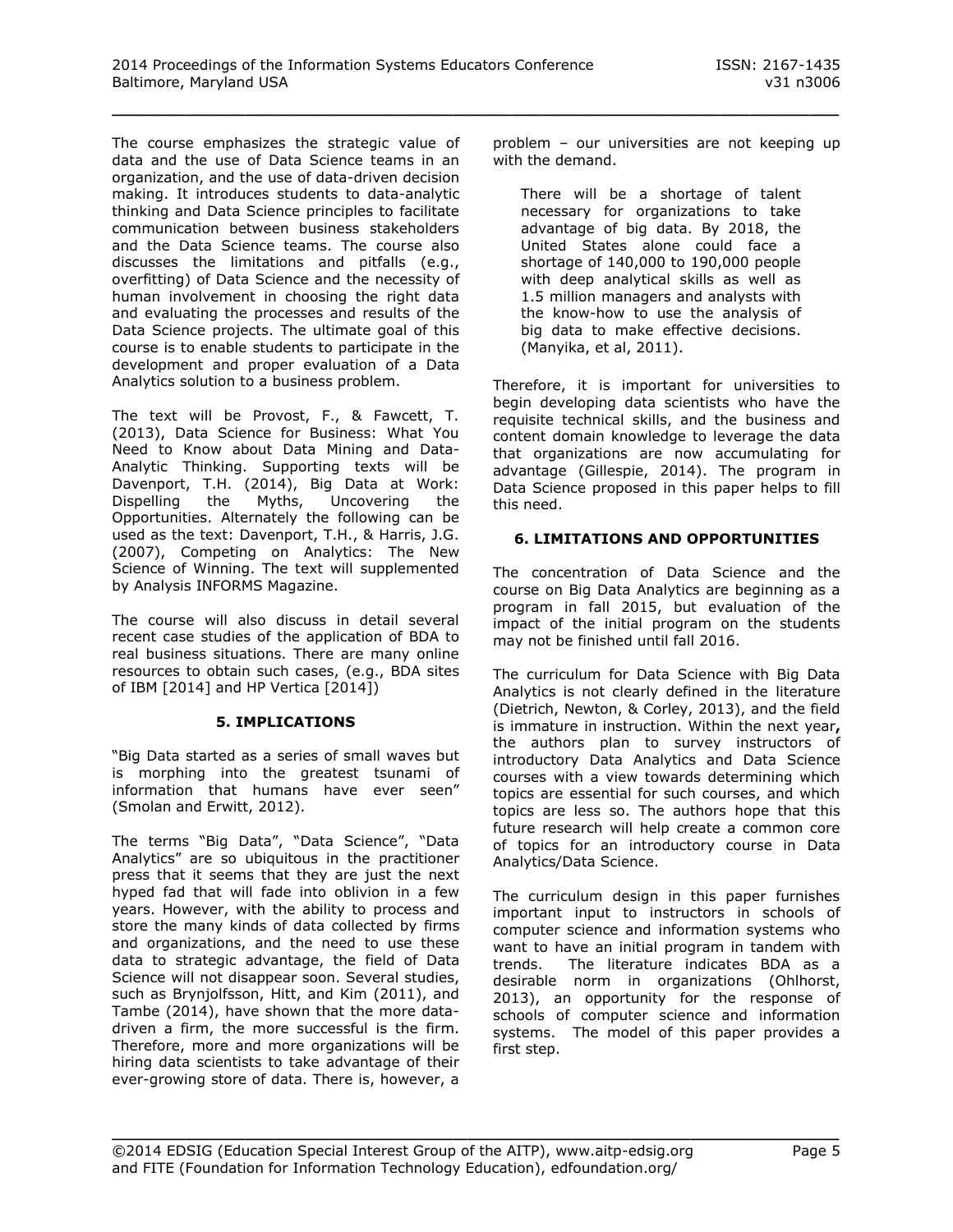The course emphasizes the strategic value of data and the use of Data Science teams in an organization, and the use of data-driven decision making. It introduces students to data-analytic thinking and Data Science principles to facilitate communication between business stakeholders and the Data Science teams. The course also discusses the limitations and pitfalls (e.g., overfitting) of Data Science and the necessity of human involvement in choosing the right data and evaluating the processes and results of the Data Science projects. The ultimate goal of this course is to enable students to participate in the development and proper evaluation of a Data Analytics solution to a business problem.

The text will be Provost, F., & Fawcett, T. (2013), Data Science for Business: What You Need to Know about Data Mining and Data-Analytic Thinking. Supporting texts will be Davenport, T.H. (2014), Big Data at Work:<br>Dispelling the Myths, Uncovering the Dispelling the Myths, Uncovering the Opportunities. Alternately the following can be used as the text: Davenport, T.H., & Harris, J.G. (2007), Competing on Analytics: The New Science of Winning. The text will supplemented by Analysis INFORMS Magazine.

The course will also discuss in detail several recent case studies of the application of BDA to real business situations. There are many online resources to obtain such cases, (e.g., BDA sites of IBM [2014] and HP Vertica [2014])

#### **5. IMPLICATIONS**

"Big Data started as a series of small waves but is morphing into the greatest tsunami of information that humans have ever seen" (Smolan and Erwitt, 2012).

The terms "Big Data", "Data Science", "Data Analytics" are so ubiquitous in the practitioner press that it seems that they are just the next hyped fad that will fade into oblivion in a few years. However, with the ability to process and store the many kinds of data collected by firms and organizations, and the need to use these data to strategic advantage, the field of Data Science will not disappear soon. Several studies, such as Brynjolfsson, Hitt, and Kim (2011), and Tambe (2014), have shown that the more datadriven a firm, the more successful is the firm. Therefore, more and more organizations will be hiring data scientists to take advantage of their ever-growing store of data. There is, however, a

problem – our universities are not keeping up with the demand.

There will be a shortage of talent necessary for organizations to take advantage of big data. By 2018, the United States alone could face a shortage of 140,000 to 190,000 people with deep analytical skills as well as 1.5 million managers and analysts with the know-how to use the analysis of big data to make effective decisions. (Manyika, et al, 2011).

Therefore, it is important for universities to begin developing data scientists who have the requisite technical skills, and the business and content domain knowledge to leverage the data that organizations are now accumulating for advantage (Gillespie, 2014). The program in Data Science proposed in this paper helps to fill this need.

#### **6. LIMITATIONS AND OPPORTUNITIES**

The concentration of Data Science and the course on Big Data Analytics are beginning as a program in fall 2015, but evaluation of the impact of the initial program on the students may not be finished until fall 2016.

The curriculum for Data Science with Big Data Analytics is not clearly defined in the literature (Dietrich, Newton, & Corley, 2013), and the field is immature in instruction. Within the next year**,** the authors plan to survey instructors of introductory Data Analytics and Data Science courses with a view towards determining which topics are essential for such courses, and which topics are less so. The authors hope that this future research will help create a common core of topics for an introductory course in Data Analytics/Data Science.

The curriculum design in this paper furnishes important input to instructors in schools of computer science and information systems who want to have an initial program in tandem with trends. The literature indicates BDA as a desirable norm in organizations (Ohlhorst, 2013), an opportunity for the response of schools of computer science and information systems. The model of this paper provides a first step.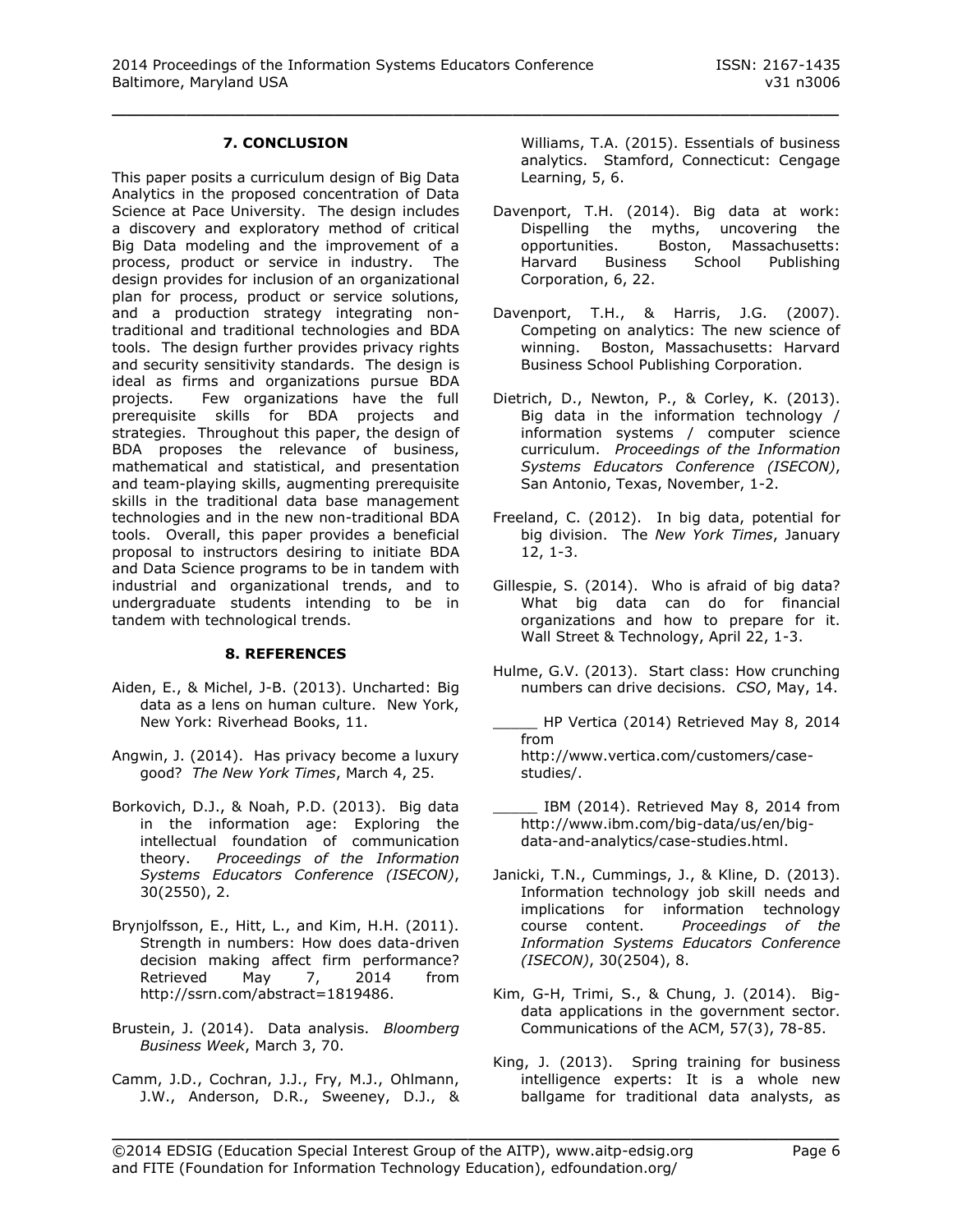# **7. CONCLUSION**

This paper posits a curriculum design of Big Data Analytics in the proposed concentration of Data Science at Pace University. The design includes a discovery and exploratory method of critical Big Data modeling and the improvement of a process, product or service in industry. The design provides for inclusion of an organizational plan for process, product or service solutions, and a production strategy integrating nontraditional and traditional technologies and BDA tools. The design further provides privacy rights and security sensitivity standards. The design is ideal as firms and organizations pursue BDA projects. Few organizations have the full prerequisite skills for BDA projects and strategies. Throughout this paper, the design of BDA proposes the relevance of business, mathematical and statistical, and presentation and team-playing skills, augmenting prerequisite skills in the traditional data base management technologies and in the new non-traditional BDA tools. Overall, this paper provides a beneficial proposal to instructors desiring to initiate BDA and Data Science programs to be in tandem with industrial and organizational trends, and to undergraduate students intending to be in tandem with technological trends.

#### **8. REFERENCES**

- Aiden, E., & Michel, J-B. (2013). Uncharted: Big data as a lens on human culture. New York, New York: Riverhead Books, 11.
- Angwin, J. (2014). Has privacy become a luxury good? *The New York Times*, March 4, 25.
- Borkovich, D.J., & Noah, P.D. (2013). Big data in the information age: Exploring the intellectual foundation of communication theory. *Proceedings of the Information Systems Educators Conference (ISECON)*, 30(2550), 2.
- Brynjolfsson, E., Hitt, L., and Kim, H.H. (2011). Strength in numbers: How does data-driven decision making affect firm performance? Retrieved May 7, 2014 from http://ssrn.com/abstract=1819486.
- Brustein, J. (2014). Data analysis. *Bloomberg Business Week*, March 3, 70.
- Camm, J.D., Cochran, J.J., Fry, M.J., Ohlmann, J.W., Anderson, D.R., Sweeney, D.J., &

Williams, T.A. (2015). Essentials of business analytics. Stamford, Connecticut: Cengage Learning, 5, 6.

- Davenport, T.H. (2014). Big data at work: Dispelling the myths, uncovering the opportunities. Boston, Massachusetts: Harvard Business School Publishing Corporation, 6, 22.
- Davenport, T.H., & Harris, J.G. (2007). Competing on analytics: The new science of winning. Boston, Massachusetts: Harvard Business School Publishing Corporation.
- Dietrich, D., Newton, P., & Corley, K. (2013). Big data in the information technology / information systems / computer science curriculum. *Proceedings of the Information Systems Educators Conference (ISECON)*, San Antonio, Texas, November, 1-2.
- Freeland, C. (2012). In big data, potential for big division. The *New York Times*, January 12, 1-3.
- Gillespie, S. (2014). Who is afraid of big data? What big data can do for financial organizations and how to prepare for it. Wall Street & Technology, April 22, 1-3.
- Hulme, G.V. (2013). Start class: How crunching numbers can drive decisions. *CSO*, May, 14.
- \_\_\_\_\_ HP Vertica (2014) Retrieved May 8, 2014 from http://www.vertica.com/customers/casestudies/.
- IBM (2014). Retrieved May 8, 2014 from http://www.ibm.com/big-data/us/en/bigdata-and-analytics/case-studies.html.
- Janicki, T.N., Cummings, J., & Kline, D. (2013). Information technology job skill needs and implications for information technology course content. *Proceedings of the Information Systems Educators Conference (ISECON)*, 30(2504), 8.
- Kim, G-H, Trimi, S., & Chung, J. (2014). Bigdata applications in the government sector. Communications of the ACM, 57(3), 78-85.
- King, J. (2013). Spring training for business intelligence experts: It is a whole new ballgame for traditional data analysts, as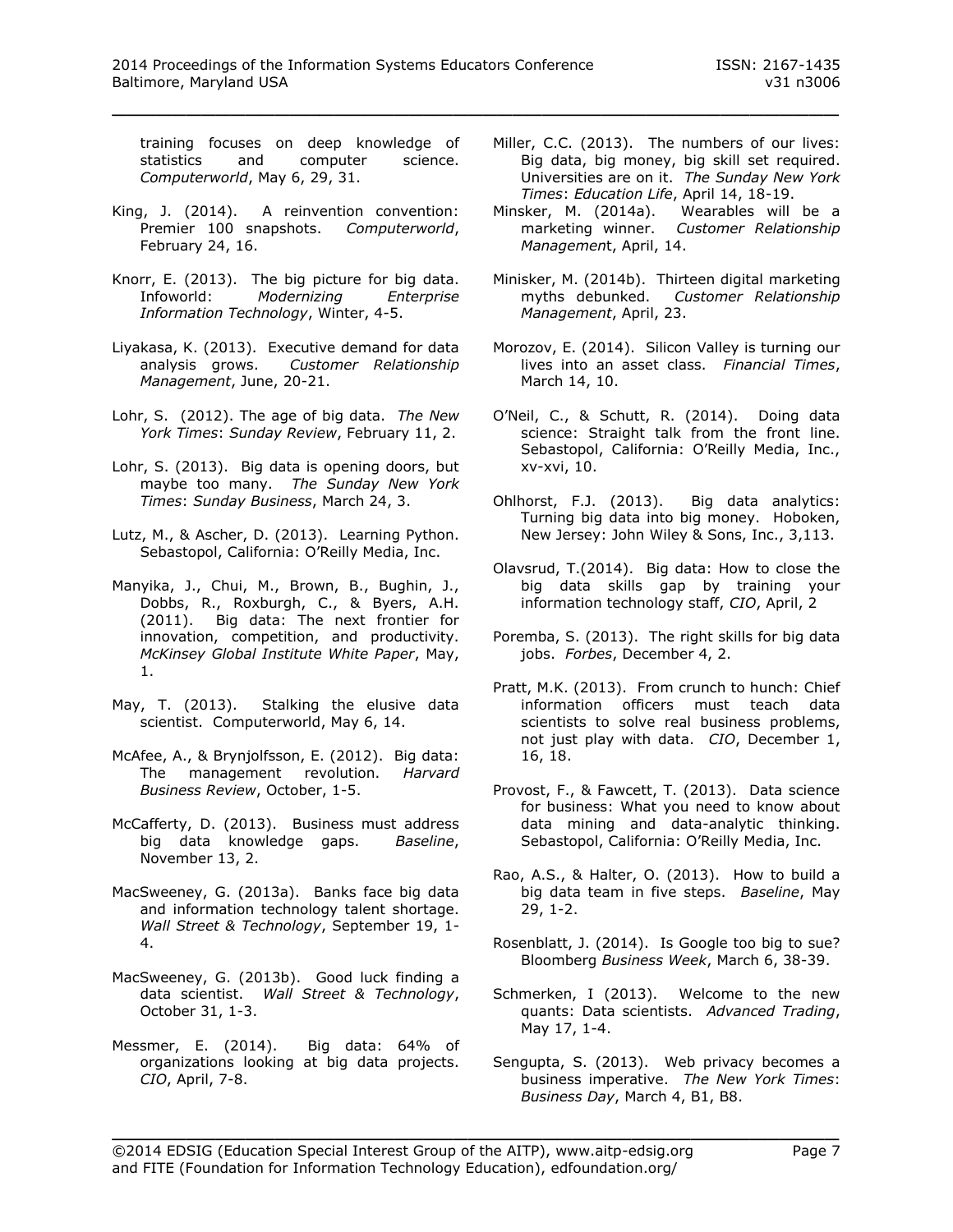training focuses on deep knowledge of statistics and computer science. *Computerworld*, May 6, 29, 31.

- King, J. (2014). A reinvention convention: Premier 100 snapshots. *Computerworld*, February 24, 16.
- Knorr, E. (2013). The big picture for big data. Infoworld: *Modernizing Enterprise Information Technology*, Winter, 4-5.
- Liyakasa, K. (2013). Executive demand for data analysis grows. *Customer Relationship Management*, June, 20-21.
- Lohr, S. (2012). The age of big data. *The New York Times*: *Sunday Review*, February 11, 2.
- Lohr, S. (2013). Big data is opening doors, but maybe too many. *The Sunday New York Times*: *Sunday Business*, March 24, 3.
- Lutz, M., & Ascher, D. (2013). Learning Python. Sebastopol, California: O'Reilly Media, Inc.
- Manyika, J., Chui, M., Brown, B., Bughin, J., Dobbs, R., Roxburgh, C., & Byers, A.H. (2011). Big data: The next frontier for innovation, competition, and productivity. *McKinsey Global Institute White Paper*, May, 1.
- May, T. (2013). Stalking the elusive data scientist. Computerworld, May 6, 14.
- McAfee, A., & Brynjolfsson, E. (2012). Big data: The management revolution. *Harvard Business Review*, October, 1-5.
- McCafferty, D. (2013). Business must address big data knowledge gaps. *Baseline*, November 13, 2.
- MacSweeney, G. (2013a). Banks face big data and information technology talent shortage. *Wall Street & Technology*, September 19, 1- 4.
- MacSweeney, G. (2013b). Good luck finding a data scientist. *Wall Street & Technology*, October 31, 1-3.
- Messmer, E. (2014). Big data: 64% of organizations looking at big data projects. *CIO*, April, 7-8.
- Miller, C.C. (2013). The numbers of our lives: Big data, big money, big skill set required. Universities are on it. *The Sunday New York Times*: *Education Life*, April 14, 18-19.
- Minsker, M. (2014a). Wearables will be a marketing winner. *Customer Relationship Managemen*t, April, 14.
- Minisker, M. (2014b). Thirteen digital marketing myths debunked. *Customer Relationship Management*, April, 23.
- Morozov, E. (2014). Silicon Valley is turning our lives into an asset class. *Financial Times*, March 14, 10.
- O'Neil, C., & Schutt, R. (2014). Doing data science: Straight talk from the front line. Sebastopol, California: O'Reilly Media, Inc., xv-xvi, 10.
- Ohlhorst, F.J. (2013). Big data analytics: Turning big data into big money. Hoboken, New Jersey: John Wiley & Sons, Inc., 3,113.
- Olavsrud, T.(2014). Big data: How to close the big data skills gap by training your information technology staff, *CIO*, April, 2
- Poremba, S. (2013). The right skills for big data jobs. *Forbes*, December 4, 2.
- Pratt, M.K. (2013). From crunch to hunch: Chief information officers must teach data scientists to solve real business problems, not just play with data. *CIO*, December 1, 16, 18.
- Provost, F., & Fawcett, T. (2013). Data science for business: What you need to know about data mining and data-analytic thinking. Sebastopol, California: O'Reilly Media, Inc.
- Rao, A.S., & Halter, O. (2013). How to build a big data team in five steps. *Baseline*, May 29, 1-2.
- Rosenblatt, J. (2014). Is Google too big to sue? Bloomberg *Business Week*, March 6, 38-39.
- Schmerken, I (2013). Welcome to the new quants: Data scientists. *Advanced Trading*, May 17, 1-4.
- Sengupta, S. (2013). Web privacy becomes a business imperative. *The New York Times*: *Business Day*, March 4, B1, B8.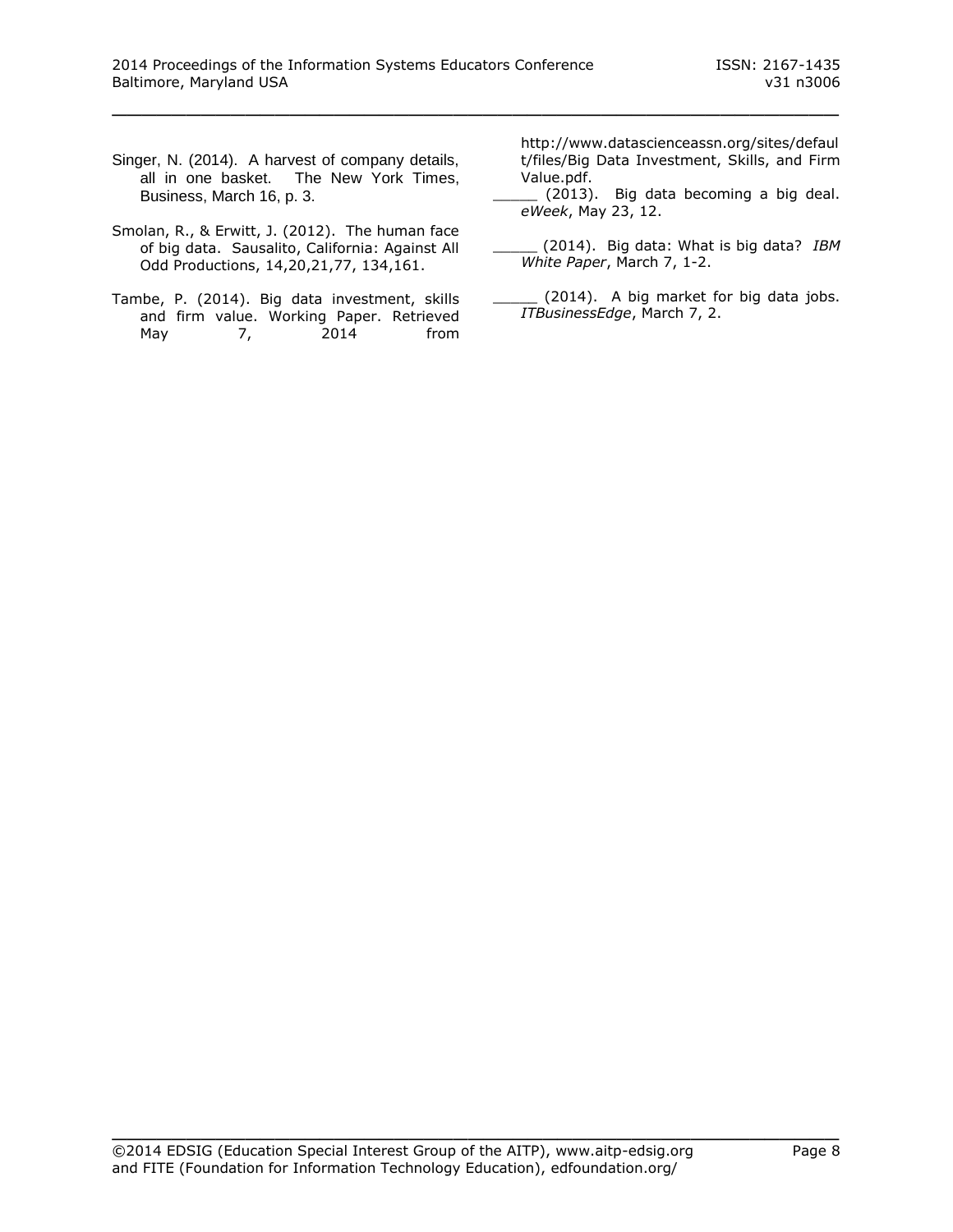- Singer, N. (2014). A harvest of company details, all in one basket. The New York Times, Business, March 16, p. 3.
- Smolan, R., & Erwitt, J. (2012). The human face of big data. Sausalito, California: Against All Odd Productions, 14,20,21,77, 134,161.
- Tambe, P. (2014). Big data investment, skills and firm value. Working Paper. Retrieved May 7, 2014 from

http://www.datascienceassn.org/sites/defaul t/files/Big Data Investment, Skills, and Firm Value.pdf.

- \_\_\_\_\_ (2013). Big data becoming a big deal. *eWeek*, May 23, 12.
- \_\_\_\_\_ (2014). Big data: What is big data? *IBM White Paper*, March 7, 1-2.
- (2014). A big market for big data jobs. *ITBusinessEdge*, March 7, 2.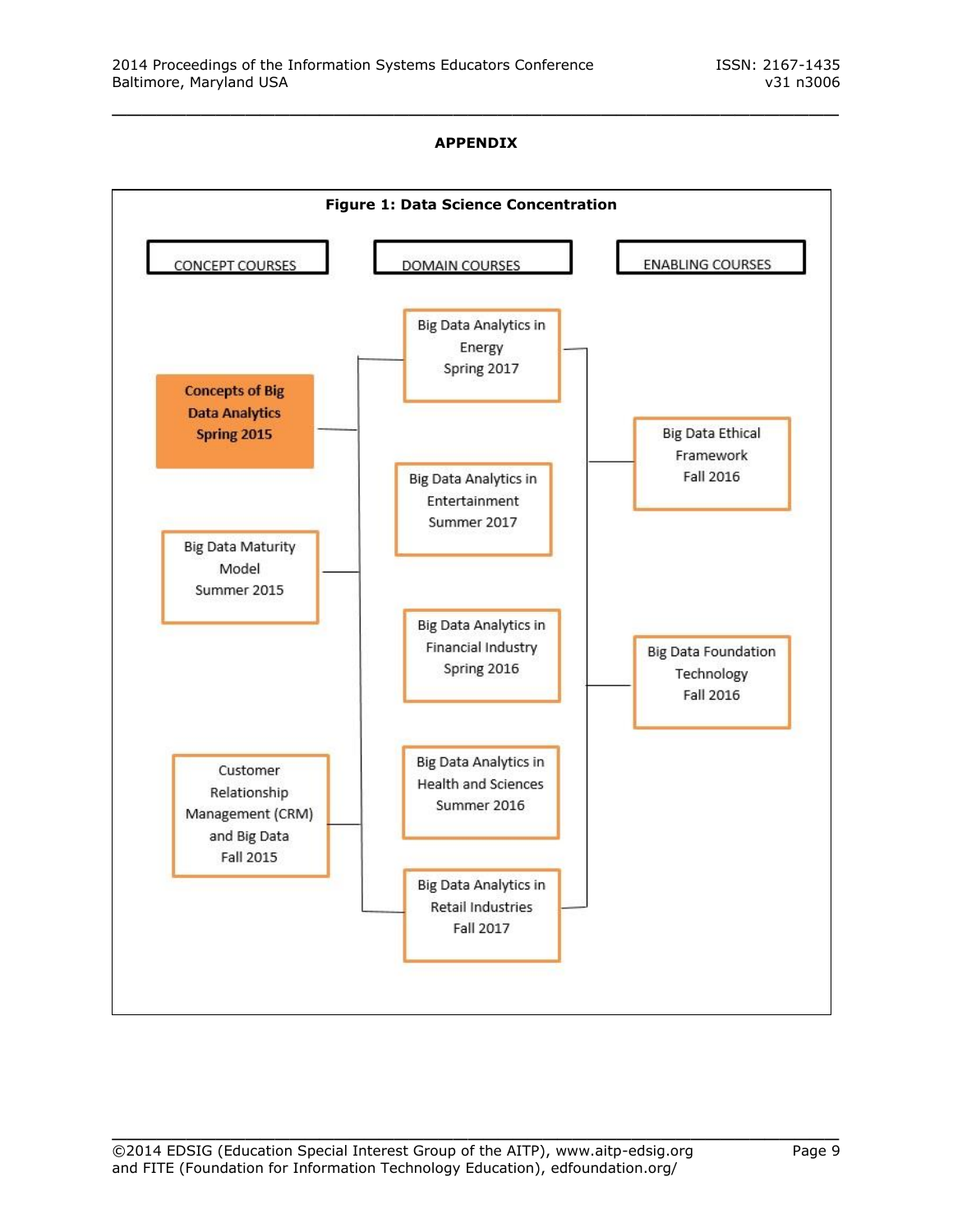## **APPENDIX**

\_\_\_\_\_\_\_\_\_\_\_\_\_\_\_\_\_\_\_\_\_\_\_\_\_\_\_\_\_\_\_\_\_\_\_\_\_\_\_\_\_\_\_\_\_\_\_\_\_

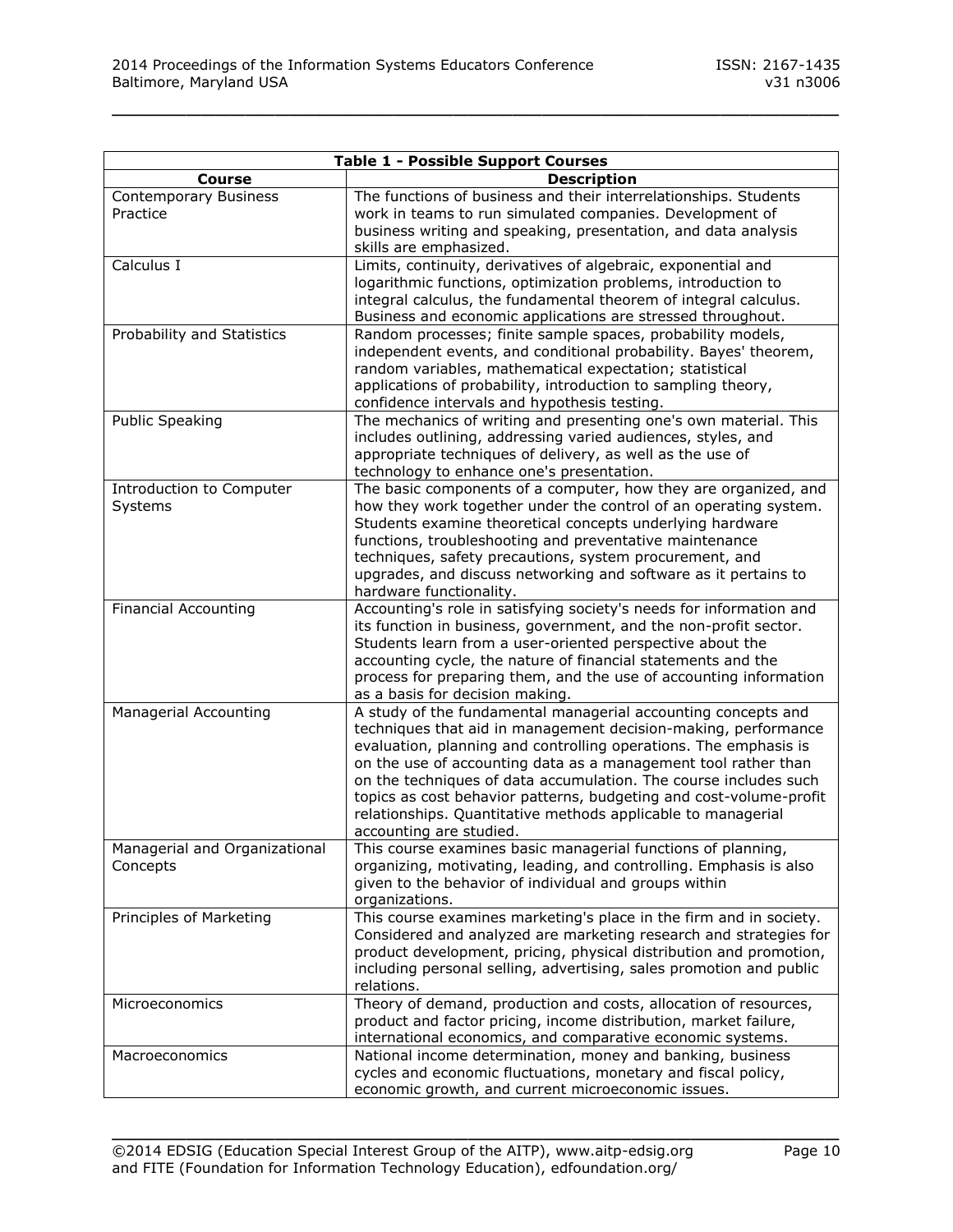| <b>Table 1 - Possible Support Courses</b> |                                                                     |  |  |  |  |  |  |  |
|-------------------------------------------|---------------------------------------------------------------------|--|--|--|--|--|--|--|
| <b>Course</b>                             | <b>Description</b>                                                  |  |  |  |  |  |  |  |
| Contemporary Business                     | The functions of business and their interrelationships. Students    |  |  |  |  |  |  |  |
| Practice                                  | work in teams to run simulated companies. Development of            |  |  |  |  |  |  |  |
|                                           | business writing and speaking, presentation, and data analysis      |  |  |  |  |  |  |  |
|                                           | skills are emphasized.                                              |  |  |  |  |  |  |  |
| Calculus I                                | Limits, continuity, derivatives of algebraic, exponential and       |  |  |  |  |  |  |  |
|                                           | logarithmic functions, optimization problems, introduction to       |  |  |  |  |  |  |  |
|                                           | integral calculus, the fundamental theorem of integral calculus.    |  |  |  |  |  |  |  |
|                                           | Business and economic applications are stressed throughout.         |  |  |  |  |  |  |  |
| Probability and Statistics                | Random processes; finite sample spaces, probability models,         |  |  |  |  |  |  |  |
|                                           | independent events, and conditional probability. Bayes' theorem,    |  |  |  |  |  |  |  |
|                                           | random variables, mathematical expectation; statistical             |  |  |  |  |  |  |  |
|                                           | applications of probability, introduction to sampling theory,       |  |  |  |  |  |  |  |
|                                           | confidence intervals and hypothesis testing.                        |  |  |  |  |  |  |  |
| <b>Public Speaking</b>                    | The mechanics of writing and presenting one's own material. This    |  |  |  |  |  |  |  |
|                                           | includes outlining, addressing varied audiences, styles, and        |  |  |  |  |  |  |  |
|                                           | appropriate techniques of delivery, as well as the use of           |  |  |  |  |  |  |  |
|                                           | technology to enhance one's presentation.                           |  |  |  |  |  |  |  |
| Introduction to Computer                  | The basic components of a computer, how they are organized, and     |  |  |  |  |  |  |  |
| Systems                                   | how they work together under the control of an operating system.    |  |  |  |  |  |  |  |
|                                           | Students examine theoretical concepts underlying hardware           |  |  |  |  |  |  |  |
|                                           | functions, troubleshooting and preventative maintenance             |  |  |  |  |  |  |  |
|                                           | techniques, safety precautions, system procurement, and             |  |  |  |  |  |  |  |
|                                           | upgrades, and discuss networking and software as it pertains to     |  |  |  |  |  |  |  |
|                                           | hardware functionality.                                             |  |  |  |  |  |  |  |
| <b>Financial Accounting</b>               | Accounting's role in satisfying society's needs for information and |  |  |  |  |  |  |  |
|                                           | its function in business, government, and the non-profit sector.    |  |  |  |  |  |  |  |
|                                           | Students learn from a user-oriented perspective about the           |  |  |  |  |  |  |  |
|                                           | accounting cycle, the nature of financial statements and the        |  |  |  |  |  |  |  |
|                                           | process for preparing them, and the use of accounting information   |  |  |  |  |  |  |  |
|                                           | as a basis for decision making.                                     |  |  |  |  |  |  |  |
| Managerial Accounting                     | A study of the fundamental managerial accounting concepts and       |  |  |  |  |  |  |  |
|                                           | techniques that aid in management decision-making, performance      |  |  |  |  |  |  |  |
|                                           | evaluation, planning and controlling operations. The emphasis is    |  |  |  |  |  |  |  |
|                                           | on the use of accounting data as a management tool rather than      |  |  |  |  |  |  |  |
|                                           | on the techniques of data accumulation. The course includes such    |  |  |  |  |  |  |  |
|                                           | topics as cost behavior patterns, budgeting and cost-volume-profit  |  |  |  |  |  |  |  |
|                                           | relationships. Quantitative methods applicable to managerial        |  |  |  |  |  |  |  |
|                                           | accounting are studied.                                             |  |  |  |  |  |  |  |
| Managerial and Organizational             | This course examines basic managerial functions of planning,        |  |  |  |  |  |  |  |
| Concepts                                  | organizing, motivating, leading, and controlling. Emphasis is also  |  |  |  |  |  |  |  |
|                                           | given to the behavior of individual and groups within               |  |  |  |  |  |  |  |
|                                           | organizations.                                                      |  |  |  |  |  |  |  |
| Principles of Marketing                   | This course examines marketing's place in the firm and in society.  |  |  |  |  |  |  |  |
|                                           | Considered and analyzed are marketing research and strategies for   |  |  |  |  |  |  |  |
|                                           | product development, pricing, physical distribution and promotion,  |  |  |  |  |  |  |  |
|                                           | including personal selling, advertising, sales promotion and public |  |  |  |  |  |  |  |
|                                           | relations.                                                          |  |  |  |  |  |  |  |
| Microeconomics                            | Theory of demand, production and costs, allocation of resources,    |  |  |  |  |  |  |  |
|                                           | product and factor pricing, income distribution, market failure,    |  |  |  |  |  |  |  |
|                                           | international economics, and comparative economic systems.          |  |  |  |  |  |  |  |
| Macroeconomics                            | National income determination, money and banking, business          |  |  |  |  |  |  |  |
|                                           | cycles and economic fluctuations, monetary and fiscal policy,       |  |  |  |  |  |  |  |
|                                           | economic growth, and current microeconomic issues.                  |  |  |  |  |  |  |  |
|                                           |                                                                     |  |  |  |  |  |  |  |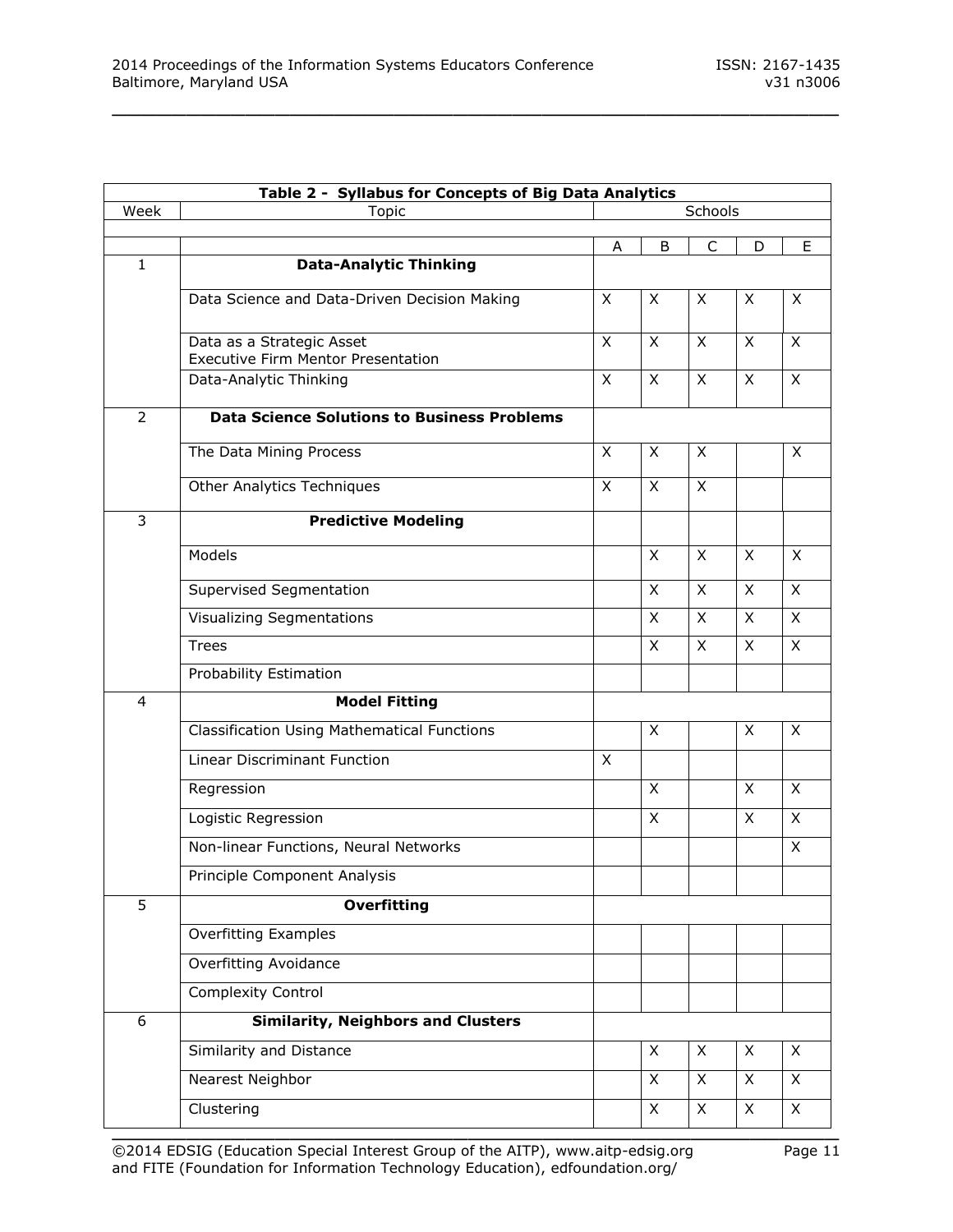| Table 2 - Syllabus for Concepts of Big Data Analytics |                                                                        |              |              |                         |              |                |  |
|-------------------------------------------------------|------------------------------------------------------------------------|--------------|--------------|-------------------------|--------------|----------------|--|
| Week                                                  | <b>Topic</b>                                                           | Schools      |              |                         |              |                |  |
|                                                       |                                                                        | A            | B            | C                       | D            | E.             |  |
| $\mathbf{1}$                                          | <b>Data-Analytic Thinking</b>                                          |              |              |                         |              |                |  |
|                                                       | Data Science and Data-Driven Decision Making                           | X            | X            | X                       | X            | X              |  |
|                                                       | Data as a Strategic Asset<br><b>Executive Firm Mentor Presentation</b> | X            | $\mathsf{X}$ | X                       | $\mathsf{X}$ | X              |  |
|                                                       | Data-Analytic Thinking                                                 | X            | X            | X                       | X            | X              |  |
| $\overline{2}$                                        | <b>Data Science Solutions to Business Problems</b>                     |              |              |                         |              |                |  |
|                                                       | The Data Mining Process                                                | $\mathsf{X}$ | X            | X                       |              | X              |  |
|                                                       | <b>Other Analytics Techniques</b>                                      | X            | X            | $\mathsf{X}$            |              |                |  |
| 3                                                     | <b>Predictive Modeling</b>                                             |              |              |                         |              |                |  |
|                                                       | Models                                                                 |              | $\mathsf{X}$ | $\overline{\mathsf{x}}$ | $\times$     | $\pmb{\times}$ |  |
|                                                       | Supervised Segmentation                                                |              | X            | X                       | X            | X              |  |
|                                                       | <b>Visualizing Segmentations</b>                                       |              | X            | X                       | X            | X              |  |
|                                                       | <b>Trees</b>                                                           |              | X            | X                       | X            | X              |  |
|                                                       | Probability Estimation                                                 |              |              |                         |              |                |  |
| 4                                                     | <b>Model Fitting</b>                                                   |              |              |                         |              |                |  |
|                                                       | <b>Classification Using Mathematical Functions</b>                     |              | X            |                         | X            | X              |  |
|                                                       | <b>Linear Discriminant Function</b>                                    | X            |              |                         |              |                |  |
|                                                       | Regression                                                             |              | $\mathsf{X}$ |                         | X            | X              |  |
|                                                       | Logistic Regression                                                    |              | X            |                         | X            | X              |  |
|                                                       | Non-linear Functions, Neural Networks                                  |              |              |                         |              | X              |  |
|                                                       | Principle Component Analysis                                           |              |              |                         |              |                |  |
| $\overline{5}$                                        | <b>Overfitting</b>                                                     |              |              |                         |              |                |  |
|                                                       | <b>Overfitting Examples</b>                                            |              |              |                         |              |                |  |
|                                                       | <b>Overfitting Avoidance</b>                                           |              |              |                         |              |                |  |
|                                                       | <b>Complexity Control</b>                                              |              |              |                         |              |                |  |
| 6                                                     | <b>Similarity, Neighbors and Clusters</b>                              |              |              |                         |              |                |  |
|                                                       | Similarity and Distance                                                |              | X            | X                       | X            | X              |  |
|                                                       | Nearest Neighbor                                                       |              | X            | X                       | X            | X              |  |
|                                                       | Clustering                                                             |              | X            | X                       | X            | X              |  |
|                                                       |                                                                        |              |              |                         |              |                |  |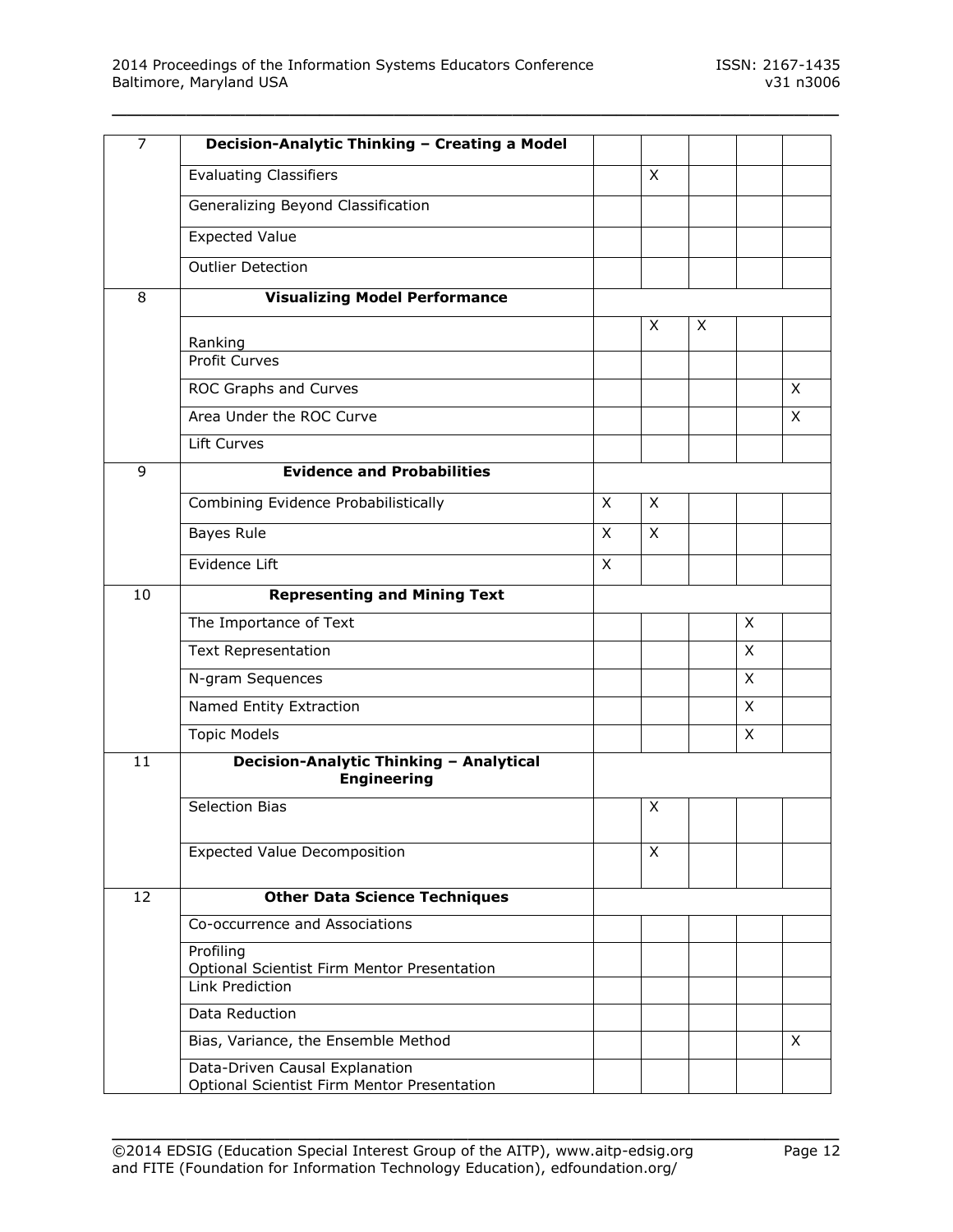| $\overline{7}$ | Decision-Analytic Thinking - Creating a Model                                      |   |          |   |   |              |
|----------------|------------------------------------------------------------------------------------|---|----------|---|---|--------------|
|                | <b>Evaluating Classifiers</b>                                                      |   | X        |   |   |              |
|                | Generalizing Beyond Classification                                                 |   |          |   |   |              |
|                | <b>Expected Value</b>                                                              |   |          |   |   |              |
|                | <b>Outlier Detection</b>                                                           |   |          |   |   |              |
| 8              | <b>Visualizing Model Performance</b>                                               |   |          |   |   |              |
|                |                                                                                    |   | X        | X |   |              |
|                | Ranking<br><b>Profit Curves</b>                                                    |   |          |   |   |              |
|                | ROC Graphs and Curves                                                              |   |          |   |   | $\mathsf{X}$ |
|                | Area Under the ROC Curve                                                           |   |          |   |   | $\mathsf{X}$ |
|                | Lift Curves                                                                        |   |          |   |   |              |
| 9              | <b>Evidence and Probabilities</b>                                                  |   |          |   |   |              |
|                | Combining Evidence Probabilistically                                               | X | $\times$ |   |   |              |
|                | Bayes Rule                                                                         | X | X        |   |   |              |
|                | Evidence Lift                                                                      | X |          |   |   |              |
| 10             | <b>Representing and Mining Text</b>                                                |   |          |   |   |              |
|                | The Importance of Text                                                             |   |          |   | X |              |
|                | <b>Text Representation</b>                                                         |   |          |   | X |              |
|                | N-gram Sequences                                                                   |   |          |   | X |              |
|                | Named Entity Extraction                                                            |   |          |   | X |              |
|                | <b>Topic Models</b>                                                                |   |          |   | X |              |
| 11             | Decision-Analytic Thinking - Analytical<br><b>Engineering</b>                      |   |          |   |   |              |
|                | <b>Selection Bias</b>                                                              |   | X        |   |   |              |
|                | <b>Expected Value Decomposition</b>                                                |   | X        |   |   |              |
| 12             | <b>Other Data Science Techniques</b>                                               |   |          |   |   |              |
|                | Co-occurrence and Associations                                                     |   |          |   |   |              |
|                | Profiling<br><b>Optional Scientist Firm Mentor Presentation</b><br>Link Prediction |   |          |   |   |              |
|                | Data Reduction                                                                     |   |          |   |   |              |
|                | Bias, Variance, the Ensemble Method                                                |   |          |   |   | X            |
|                | Data-Driven Causal Explanation<br>Optional Scientist Firm Mentor Presentation      |   |          |   |   |              |